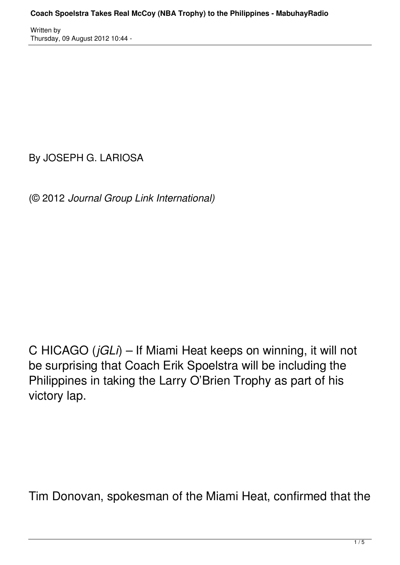By JOSEPH G. LARIOSA

(© 2012 *Journal Group Link International)*

C HICAGO (*jGLi*) – If Miami Heat keeps on winning, it will not be surprising that Coach Erik Spoelstra will be including the Philippines in taking the Larry O'Brien Trophy as part of his victory lap.

Tim Donovan, spokesman of the Miami Heat, confirmed that the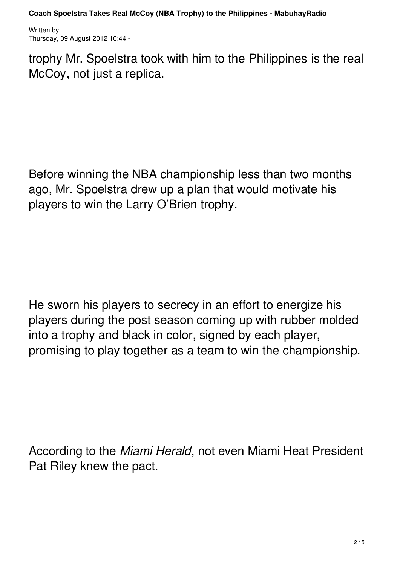trophy Mr. Spoelstra took with him to the Philippines is the real McCoy, not just a replica.

Before winning the NBA championship less than two months ago, Mr. Spoelstra drew up a plan that would motivate his players to win the Larry O'Brien trophy.

He sworn his players to secrecy in an effort to energize his players during the post season coming up with rubber molded into a trophy and black in color, signed by each player, promising to play together as a team to win the championship.

According to the *Miami Herald*, not even Miami Heat President Pat Riley knew the pact.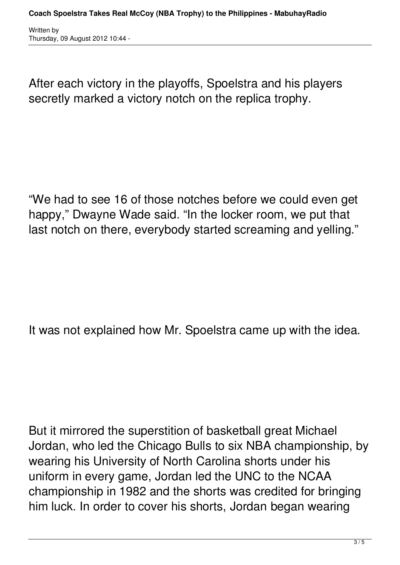After each victory in the playoffs, Spoelstra and his players secretly marked a victory notch on the replica trophy.

"We had to see 16 of those notches before we could even get happy," Dwayne Wade said. "In the locker room, we put that last notch on there, everybody started screaming and yelling."

It was not explained how Mr. Spoelstra came up with the idea.

But it mirrored the superstition of basketball great Michael Jordan, who led the Chicago Bulls to six NBA championship, by wearing his University of North Carolina shorts under his uniform in every game, Jordan led the UNC to the NCAA championship in 1982 and the shorts was credited for bringing him luck. In order to cover his shorts, Jordan began wearing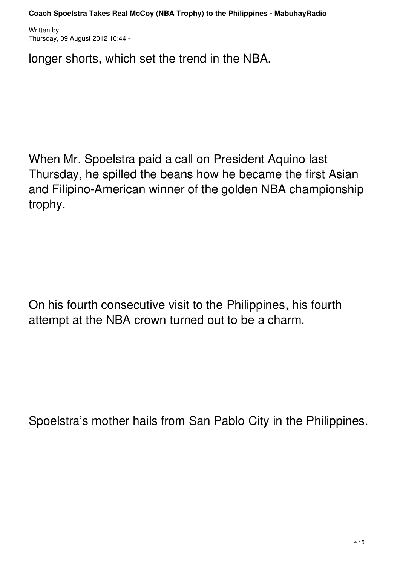longer shorts, which set the trend in the NBA.

When Mr. Spoelstra paid a call on President Aquino last Thursday, he spilled the beans how he became the first Asian and Filipino-American winner of the golden NBA championship trophy.

On his fourth consecutive visit to the Philippines, his fourth attempt at the NBA crown turned out to be a charm.

Spoelstra's mother hails from San Pablo City in the Philippines.